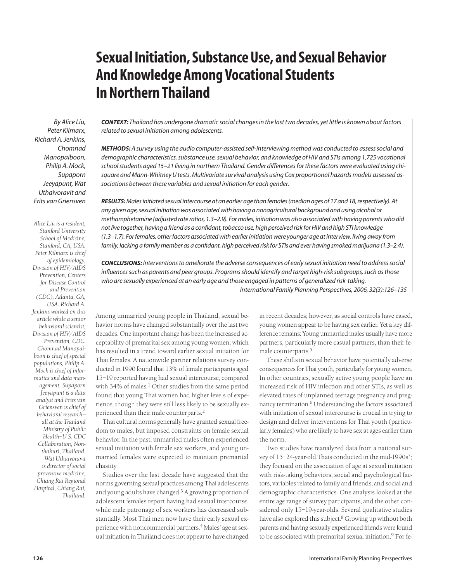# **Sexual Initiation, Substance Use, and Sexual Behavior And Knowledge Among Vocational Students In Northern Thailand**

*By Alice Liu, Peter Kilmarx, Richard A. Jenkins, Chomnad Manopaiboon, Philip A. Mock, Supaporn Jeeyapunt, Wat Uthaivoravit and Frits van Griensven*

*Alice Liu is a resident, Stanford University School of Medicine, Stanford, CA, USA. Peter Kilmarx is chief of epidemiology, Division of HIV/AIDS Prevention, Centers for Disease Control and Prevention (CDC), Atlanta, GA, USA. Richard A. Jenkins worked on this article while a senior behavioral scientist, Division of HIV/AIDS Prevention, CDC. Chomnad Manopaiboon is chief of special populations, Philip A. Mock is chief of informatics and data management, Supaporn Jeeyapunt is a data analyst and Frits van Griensven is chief of behavioral research all at the Thailand Ministry of Public Health–U.S. CDC Collaboration, Nonthaburi, Thailand. Wat Uthaivoravit is director of social preventive medicine, Chiang Rai Regional Hospital, Chiang Rai, Thailand.*

*CONTEXT: Thailand has undergone dramatic social changes in the last two decades, yet little is known about factors related to sexual initiation among adolescents.*

*METHODS: A survey using the audio computer-assisted self-interviewing method was conducted to assess social and demographic characteristics, substance use, sexual behavior, and knowledge of HIV and STIs among 1,725 vocational school students aged 15–21 living in northern Thailand. Gender differences for these factors were evaluated using chisquare and Mann-Whitney U tests. Multivariate survival analysis using Cox proportional hazards models assessed associations between these variables and sexual initiation for each gender.*

*RESULTS: Males initiated sexual intercourse at an earlier age than females (median ages of 17 and 18, respectively). At any given age, sexual initiation was associated with having a nonagricultural background and using alcohol or methamphetamine (adjusted rate ratios, 1.3–2.9). For males, initiation was also associated with having parents who did not live together, having a friend as a confidant, tobacco use, high perceived risk for HIV and high STI knowledge (1.3–1.7). For females, other factors associated with earlier initiation were younger age at interview, living away from family, lacking a family member as a confidant, high perceived risk for STIs and ever having smoked marijuana (1.3–2.4).* 

*CONCLUSIONS: Interventions to ameliorate the adverse consequences of early sexual initiation need to address social influences such as parents and peer groups. Programs should identify and target high-risk subgroups, such as those who are sexually experienced at an early age and those engaged in patterns of generalized risk-taking.*

*International Family Planning Perspectives, 2006, 32(3):126–135*

Among unmarried young people in Thailand, sexual behavior norms have changed substantially over the last two decades. One important change has been the increased acceptability of premarital sex among young women, which has resulted in a trend toward earlier sexual initiation for Thai females. A nationwide partner relations survey conducted in 1990 found that 13% of female participants aged 15–19 reported having had sexual intercourse, compared with  $34\%$  of males.<sup>1</sup> Other studies from the same period found that young Thai women had higher levels of experience, though they were still less likely to be sexually experienced than their male counterparts.<sup>2</sup>

Thai cultural norms generally have granted sexual freedom to males, but imposed constraints on female sexual behavior. In the past, unmarried males often experienced sexual initiation with female sex workers, and young unmarried females were expected to maintain premarital chastity.

Studies over the last decade have suggested that the norms governing sexual practices among Thai adolescents and young adults have changed.3 A growing proportion of adolescent females report having had sexual intercourse, while male patronage of sex workers has decreased substantially. Most Thai men now have their early sexual experience with noncommercial partners.<sup>4</sup> Males' age at sexual initiation in Thailand does not appear to have changed in recent decades; however, as social controls have eased, young women appear to be having sex earlier. Yet a key difference remains: Young unmarried males usually have more partners, particularly more casual partners, than their female counterparts.5

These shifts in sexual behavior have potentially adverse consequences for Thai youth, particularly for young women. In other countries, sexually active young people have an increased risk of HIV infection and other STIs, as well as elevated rates of unplanned teenage pregnancy and pregnancy termination.<sup>6</sup> Understanding the factors associated with initiation of sexual intercourse is crucial in trying to design and deliver interventions for Thai youth (particularly females) who are likely to have sex at ages earlier than the norm.

Two studies have reanalyzed data from a national survey of 15-24-year-old Thais conducted in the mid-1990s<sup>7</sup>; they focused on the association of age at sexual initiation with risk-taking behaviors, social and psychological factors, variables related to family and friends, and social and demographic characteristics. One analysis looked at the entire age range of survey participants, and the other considered only 15–19-year-olds. Several qualitative studies have also explored this subject.<sup>8</sup> Growing up without both parents and having sexually experienced friends were found to be associated with premarital sexual initiation.<sup>9</sup> For fe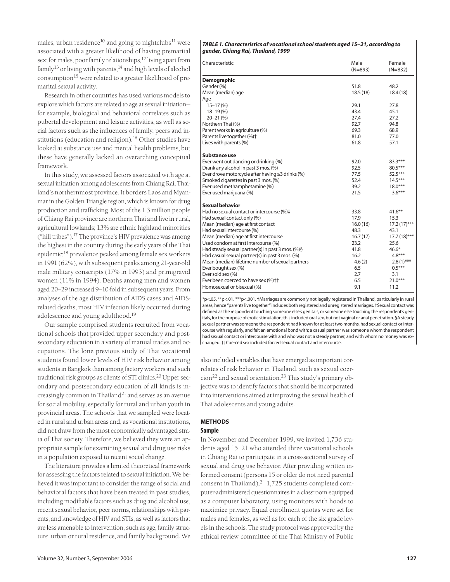males, urban residence<sup>10</sup> and going to nightclubs<sup>11</sup> were associated with a greater likelihood of having premarital sex; for males, poor family relationships,<sup>12</sup> living apart from family<sup>13</sup> or living with parents, $14$  and high levels of alcohol consumption<sup>15</sup> were related to a greater likelihood of premarital sexual activity.

Research in other countries has used various models to explore which factors are related to age at sexual initiation for example, biological and behavioral correlates such as pubertal development and leisure activities, as well as social factors such as the influences of family, peers and institutions (education and religion).<sup>16</sup> Other studies have looked at substance use and mental health problems, but these have generally lacked an overarching conceptual framework.

In this study, we assessed factors associated with age at sexual initiation among adolescents from Chiang Rai, Thailand's northernmost province. It borders Laos and Myanmar in the Golden Triangle region, which is known for drug production and trafficking. Most of the 1.3 million people of Chiang Rai province are northern Thai and live in rural, agricultural lowlands; 13% are ethnic highland minorities ("hill tribes").17 The province's HIV prevalence was among the highest in the country during the early years of the Thai epidemic;18 prevalence peaked among female sex workers in 1991 (62%), with subsequent peaks among 21-year-old male military conscripts (17% in 1993) and primigravid women (11% in 1994). Deaths among men and women aged 20–29 increased 9–10-fold in subsequent years. From analyses of the age distribution of AIDS cases and AIDSrelated deaths, most HIV infection likely occurred during adolescence and young adulthood.19

Our sample comprised students recruited from vocational schools that provided upper secondary and postsecondary education in a variety of manual trades and occupations. The lone previous study of Thai vocational students found lower levels of HIV risk behavior among students in Bangkok than among factory workers and such traditional risk groups as clients of STI clinics.20 Upper secondary and postsecondary education of all kinds is increasingly common in Thailand<sup>21</sup> and serves as an avenue for social mobility, especially for rural and urban youth in provincial areas. The schools that we sampled were located in rural and urban areas and, as vocational institutions, did not draw from the most economically advantaged strata of Thai society. Therefore, we believed they were an appropriate sample for examining sexual and drug use risks in a population exposed to recent social change.

The literature provides a limited theoretical framework for assessing the factors related to sexual initiation. We believed it was important to consider the range of social and behavioral factors that have been treated in past studies, including modifiable factors such as drug and alcohol use, recent sexual behavior, peer norms, relationships with parents, and knowledge of HIV and STIs, as well as factors that are less amenable to intervention, such as age, family structure, urban or rural residence, and family background. We

#### *TABLE 1. Characteristics of vocational school students aged 15–21, according to gender, Chiang Rai, Thailand, 1999*

| Characteristic                                                | Male<br>$(N=893)$ | Female<br>$(N=832)$ |
|---------------------------------------------------------------|-------------------|---------------------|
| <b>Demographic</b>                                            |                   |                     |
| Gender (%)                                                    | 51.8              | 48.2                |
| Mean (median) age                                             | 18.5(18)          | 18.4(18)            |
| Age                                                           |                   |                     |
| $15 - 17(%)$                                                  | 29.1              | 27.8                |
| $18 - 19(%)$                                                  | 43.4              | 45.1                |
| $20 - 21(%)$<br>Northern Thai (%)                             | 27.4<br>92.7      | 27.2<br>94.8        |
|                                                               | 69.3              | 68.9                |
| Parent works in agriculture (%)<br>Parents live together (%)+ | 81.0              | 77.0                |
| Lives with parents (%)                                        | 61.8              | 57.1                |
|                                                               |                   |                     |
| Substance use                                                 |                   |                     |
| Ever went out dancing or drinking (%)                         | 92.0              | 83.3***             |
| Drank any alcohol in past 3 mos. (%)                          | 92.5              | $80.5***$           |
| Ever drove motorcycle after having $\geq 3$ drinks (%)        | 77.5              | $52.5***$           |
| Smoked cigarettes in past 3 mos. (%)                          | 52.4              | $14.5***$           |
| Ever used methamphetamine (%)                                 | 39.2              | $18.0***$           |
| Ever used marijuana (%)                                       | 21.5              | $3.6***$            |
| <b>Sexual behavior</b>                                        |                   |                     |
| Had no sexual contact or intercourse (%)#                     | 33.8              | $41.6***$           |
| Had sexual contact only (%)                                   | 17.9              | 15.3                |
| Mean (median) age at first contact                            | 16.0(16)          | $17.2(17)$ ***      |
| Had sexual intercourse (%)                                    | 48.3              | 43.1                |
| Mean (median) age at first intercourse                        | 16.7(17)          | $17.7(18)$ ***      |
| Used condom at first intercourse (%)                          | 23.2              | 25.6                |
| Had steady sexual partner(s) in past 3 mos. (%)§              | 41.8              | $46.6*$             |
| Had casual sexual partner(s) in past 3 mos. (%)               | 16.2              | $4.8***$            |
| Mean (median) lifetime number of sexual partners              | 4.6(2)            | $2.8(1)$ ***        |
| Ever bought sex (%)                                           | 6.5               | $0.5***$            |
| Ever sold sex (%)                                             | 2.7               | 3.1                 |
| Ever been coerced to have sex (%)++                           | 6.5               | $21.0***$           |
| Homosexual or bisexual (%)                                    | 9.1               | 11.2                |

\*p<.05. \*\*p<.01. \*\*\*p<.001. †Marriages are commonly not legally registered in Thailand, particularly in rural areas, hence "parents live together" includes both registered and unregistered marriages. ‡Sexual contact was defined as the respondent touching someone else's genitals, or someone else touching the respondent's genitals, for the purpose of erotic stimulation; this included oral sex, but not vaginal or anal penetration. §A steady sexual partner was someone the respondent had known for at least two months, had sexual contact or intercourse with regularly, and felt an emotional bond with; a casual partner was someone whom the respondent had sexual contact or intercourse with and who was not a steady partner, and with whom no money was exchanged. ††Coerced sex included forced sexual contact and intercourse.

also included variables that have emerged as important correlates of risk behavior in Thailand, such as sexual coer- $\frac{\text{cion}^{22}}{\text{coul}}$  and sexual orientation.<sup>23</sup> This study's primary objective was to identify factors that should be incorporated into interventions aimed at improving the sexual health of Thai adolescents and young adults.

# **METHODS**

# **Sample**

In November and December 1999, we invited 1,736 students aged 15–21 who attended three vocational schools in Chiang Rai to participate in a cross-sectional survey of sexual and drug use behavior. After providing written informed consent (persons 15 or older do not need parental consent in Thailand), $24$  1,725 students completed computer-administered questionnaires in a classroom equipped as a computer laboratory, using monitors with hoods to maximize privacy. Equal enrollment quotas were set for males and females, as well as for each of the six grade levels in the schools. The study protocol was approved by the ethical review committee of the Thai Ministry of Public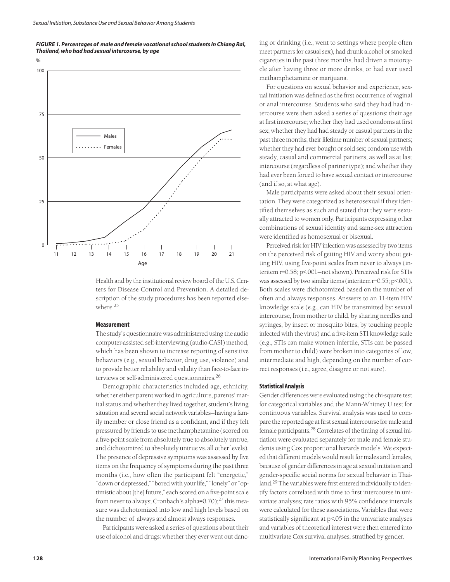

Health and by the institutional review board of the U.S. Centers for Disease Control and Prevention. A detailed description of the study procedures has been reported elsewhere.25

# **Measurement**

The study's questionnaire was administered using the audio computer-assisted self-interviewing (audio-CASI) method, which has been shown to increase reporting of sensitive behaviors (e.g., sexual behavior, drug use, violence) and to provide better reliability and validity than face-to-face interviews or self-administered questionnaires.<sup>26</sup>

Demographic characteristics included age, ethnicity, whether either parent worked in agriculture, parents' marital status and whether they lived together, student's living situation and several social network variables—having a family member or close friend as a confidant, and if they felt pressured by friends to use methamphetamine (scored on a five-point scale from absolutely true to absolutely untrue, and dichotomized to absolutely untrue vs. all other levels). The presence of depressive symptoms was assessed by five items on the frequency of symptoms during the past three months (i.e., how often the participant felt "energetic," "down or depressed," "bored with your life," "lonely" or "optimistic about [the] future," each scored on a five-point scale from never to always; Cronbach's alpha=0.70); $^{27}$  this measure was dichotomized into low and high levels based on the number of always and almost always responses.

Participants were asked a series of questions about their use of alcohol and drugs: whether they ever went out dancing or drinking (i.e., went to settings where people often meet partners for casual sex), had drunk alcohol or smoked cigarettes in the past three months, had driven a motorcycle after having three or more drinks, or had ever used methamphetamine or marijuana.

For questions on sexual behavior and experience, sexual initiation was defined as the first occurrence of vaginal or anal intercourse. Students who said they had had intercourse were then asked a series of questions: their age at first intercourse; whether they had used condoms at first sex; whether they had had steady or casual partners in the past three months; their lifetime number of sexual partners; whether they had ever bought or sold sex; condom use with steady, casual and commercial partners, as well as at last intercourse (regardless of partner type); and whether they had ever been forced to have sexual contact or intercourse (and if so, at what age).

Male participants were asked about their sexual orientation. They were categorized as heterosexual if they identified themselves as such and stated that they were sexually attracted to women only. Participants expressing other combinations of sexual identity and same-sex attraction were identified as homosexual or bisexual.

Perceived risk for HIV infection was assessed by two items on the perceived risk of getting HIV and worry about getting HIV, using five-point scales from never to always (interitem r=0.58; p<.001—not shown). Perceived risk for STIs was assessed by two similar items (interitem r=0.55; p<.001). Both scales were dichotomized based on the number of often and always responses. Answers to an 11-item HIV knowledge scale (e.g., can HIV be transmitted by: sexual intercourse, from mother to child, by sharing needles and syringes, by insect or mosquito bites, by touching people infected with the virus) and a five-item STI knowledge scale (e.g., STIs can make women infertile, STIs can be passed from mother to child) were broken into categories of low, intermediate and high, depending on the number of correct responses (i.e., agree, disagree or not sure).

#### **Statistical Analysis**

Gender differences were evaluated using the chi-square test for categorical variables and the Mann-Whitney U test for continuous variables. Survival analysis was used to compare the reported age at first sexual intercourse for male and female participants.28 Correlates of the timing of sexual initiation were evaluated separately for male and female students using Cox proportional hazards models. We expected that different models would result for males and females, because of gender differences in age at sexual initiation and gender-specific social norms for sexual behavior in Thailand.<sup>29</sup> The variables were first entered individually to identify factors correlated with time to first intercourse in univariate analyses; rate ratios with 95% confidence intervals were calculated for these associations. Variables that were statistically significant at p<.05 in the univariate analyses and variables of theoretical interest were then entered into multivariate Cox survival analyses, stratified by gender.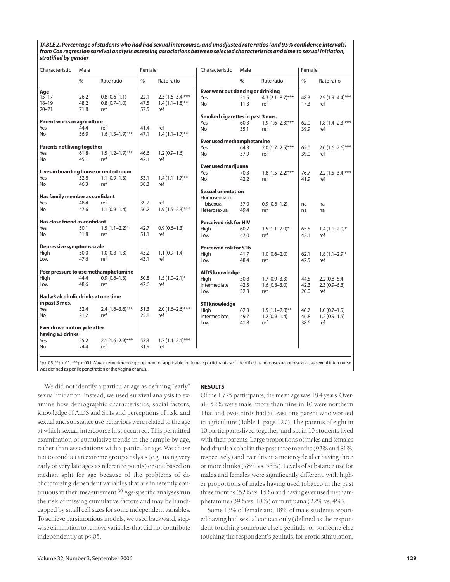*TABLE 2. Percentage of students who had had sexual intercourse, and unadjusted rate ratios (and 95% confidence intervals) from Cox regression survival analysis assessing associations between selected characteristics and time to sexual initiation, stratified by gender* 

| Characteristic                                  | Male |                                        | Female |                                  | Characteristic                    | Male |                      | Female |                    |
|-------------------------------------------------|------|----------------------------------------|--------|----------------------------------|-----------------------------------|------|----------------------|--------|--------------------|
|                                                 | $\%$ | Rate ratio                             | $\%$   | Rate ratio                       |                                   | $\%$ | Rate ratio           | $\%$   | Rate ratio         |
| Age                                             |      |                                        |        |                                  | Ever went out dancing or drinking |      |                      |        |                    |
| $15 - 17$                                       | 26.2 | $0.8(0.6-1.1)$                         | 22.1   | $2.3(1.6-3.4)$ ***               | Yes                               | 51.5 | $4.3(2.1 - 8.7)$ *** | 48.3   | $2.9(1.9-4.4)$ *** |
| $18 - 19$                                       | 48.2 | $0.8(0.7-1.0)$                         | 47.5   | $1.4(1.1-1.8)$ **                | No                                | 11.3 | ref                  | 17.3   | ref                |
| $20 - 21$                                       | 71.8 | ref                                    | 57.5   | ref                              |                                   |      |                      |        |                    |
|                                                 |      |                                        |        |                                  | Smoked cigarettes in past 3 mos.  |      |                      |        |                    |
| Parent works in agriculture                     |      |                                        |        |                                  | Yes                               | 60.3 | $1.9(1.6-2.3)$ ***   | 62.0   | $1.8(1.4-2.3)$ *** |
| Yes                                             | 44.4 | ref                                    | 41.4   | ref                              | No                                | 35.1 | ref                  | 39.9   | ref                |
| No                                              | 56.9 | $1.6(1.3-1.9)$ ***                     | 47.1   | $1.4(1.1-1.7)$ **                |                                   |      |                      |        |                    |
|                                                 |      |                                        |        | <b>Ever used methamphetamine</b> |                                   |      |                      |        |                    |
| <b>Parents not living together</b>              |      |                                        |        |                                  | Yes                               | 64.3 | $2.0(1.7-2.5)$ ***   | 62.0   | $2.0(1.6-2.6)$ *** |
| Yes                                             | 61.8 | $1.5(1.2-1.9)$ ***                     | 46.6   | $1.2(0.9-1.6)$                   | No                                | 37.9 | ref                  | 39.0   | ref                |
| No                                              | 45.1 | ref                                    | 42.1   | ref                              |                                   |      |                      |        |                    |
|                                                 |      |                                        |        |                                  | Ever used marijuana               |      |                      |        |                    |
|                                                 |      | Lives in boarding house or rented room |        |                                  | Yes                               | 70.3 | $1.8(1.5-2.2)$ ***   | 76.7   | $2.2(1.5-3.4)$ *** |
| Yes                                             | 52.8 | $1.1(0.9-1.3)$                         | 53.1   | $1.4(1.1-1.7)$ **                | No                                | 42.2 | ref                  | 41.9   | ref                |
| No                                              | 46.3 | ref                                    | 38.3   | ref                              |                                   |      |                      |        |                    |
|                                                 |      |                                        |        |                                  | <b>Sexual orientation</b>         |      |                      |        |                    |
| Has family member as confidant                  |      |                                        |        |                                  | Homosexual or                     |      |                      |        |                    |
| Yes                                             | 48.4 | ref                                    | 39.2   | ref                              | bisexual                          | 37.0 | $0.9(0.6-1.2)$       | na     | na                 |
| No                                              | 47.6 | $1.1(0.9-1.4)$                         | 56.2   | $1.9(1.5-2.3)$ ***               | Heterosexual                      | 49.4 | ref                  | na     | na                 |
| Has close friend as confidant                   |      |                                        |        |                                  | Perceived risk for HIV            |      |                      |        |                    |
| Yes                                             | 50.1 | $1.5(1.1-2.2)^{*}$                     | 42.7   | $0.9(0.6 - 1.3)$                 | Hiah                              | 60.7 | $1.5(1.1-2.0)$ *     | 65.5   | $1.4(1.1-2.0)$ *   |
| No                                              | 31.8 | ref                                    | 51.1   | ref                              | Low                               | 47.0 | ref                  | 42.1   | ref                |
| Depressive symptoms scale                       |      |                                        |        |                                  | <b>Perceived risk for STIs</b>    |      |                      |        |                    |
| High                                            | 50.0 | $1.0(0.8-1.3)$                         | 43.2   | $1.1(0.9-1.4)$                   | High                              | 41.7 | $1.0(0.6 - 2.0)$     | 62.1   | $1.8(1.1-2.9)$ *   |
| Low                                             | 47.6 | ref                                    | 43.1   | ref                              | Low                               | 48.4 | ref                  | 42.5   | ref                |
|                                                 |      |                                        |        |                                  |                                   |      |                      |        |                    |
|                                                 |      | Peer pressure to use methamphetamine   |        |                                  | <b>AIDS knowledge</b>             |      |                      |        |                    |
| High                                            | 44.4 | $0.9(0.6 - 1.3)$                       | 50.8   | $1.5(1.0-2.1)^{*}$               | High                              | 50.8 | $1.7(0.9 - 3.3)$     | 44.5   | $2.2(0.8 - 5.4)$   |
| Low                                             | 48.6 | ref                                    | 42.6   | ref                              | Intermediate                      | 42.5 | $1.6(0.8 - 3.0)$     | 42.3   | $2.3(0.9-6.3)$     |
| Had ≥3 alcoholic drinks at one time             |      |                                        |        |                                  | Low                               | 32.3 | ref                  | 20.0   | ref                |
|                                                 |      |                                        |        |                                  |                                   |      |                      |        |                    |
| in past 3 mos.                                  |      |                                        |        |                                  | <b>STI knowledge</b>              |      |                      |        |                    |
| Yes                                             | 52.4 | $2.4(1.6-3.6)$ ***<br>ref              | 51.3   | $2.0(1.6-2.6)$ ***               | High                              | 62.3 | $1.5(1.1-2.0)$ **    | 46.7   | $1.0(0.7-1.5)$     |
| No                                              | 21.2 |                                        | 25.8   | ref                              | Intermediate                      | 49.7 | $1.2(0.9-1.4)$       | 46.8   | $1.2(0.9-1.5)$     |
|                                                 |      |                                        |        |                                  | Low                               | 41.8 | ref                  | 38.6   | ref                |
| Ever drove motorcycle after<br>having ≥3 drinks |      |                                        |        |                                  |                                   |      |                      |        |                    |
| Yes                                             | 55.2 | $2.1(1.6-2.9)$ ***                     | 53.3   | $1.7(1.4-2.1)$ ***               |                                   |      |                      |        |                    |
| No                                              | 24.4 | ref                                    | 31.9   | ref                              |                                   |      |                      |        |                    |
|                                                 |      |                                        |        |                                  |                                   |      |                      |        |                    |

\*p<.05. \*\*p<.01. \*\*\*p<.001. *Notes:* ref=reference group. na=not applicable for female participants self-identified as homosexual or bisexual, as sexual intercourse was defined as penile penetration of the vagina or anus.

We did not identify a particular age as defining "early" sexual initiation. Instead, we used survival analysis to examine how demographic characteristics, social factors, knowledge of AIDS and STIs and perceptions of risk, and sexual and substance use behaviors were related to the age at which sexual intercourse first occurred. This permitted examination of cumulative trends in the sample by age, rather than associations with a particular age. We chose not to conduct an extreme group analysis (e.g., using very early or very late ages as reference points) or one based on median split for age because of the problems of dichotomizing dependent variables that are inherently continuous in their measurement.<sup>30</sup> Age-specific analyses run the risk of missing cumulative factors and may be handicapped by small cell sizes for some independent variables. To achieve parsimonious models, we used backward, stepwise elimination to remove variables that did not contribute independently at p<.05.

#### **RESULTS**

Of the 1,725 participants, the mean age was 18.4 years. Overall, 52% were male, more than nine in 10 were northern Thai and two-thirds had at least one parent who worked in agriculture (Table 1, page 127). The parents of eight in 10 participants lived together, and six in 10 students lived with their parents. Large proportions of males and females had drunk alcohol in the past three months (93% and 81%, respectively) and ever driven a motorcycle after having three or more drinks (78% vs. 53%). Levels of substance use for males and females were significantly different, with higher proportions of males having used tobacco in the past three months (52% vs. 15%) and having ever used methamphetamine (39% vs. 18%) or marijuana (22% vs. 4%).

Some 15% of female and 18% of male students reported having had sexual contact only (defined as the respondent touching someone else's genitals, or someone else touching the respondent's genitals, for erotic stimulation,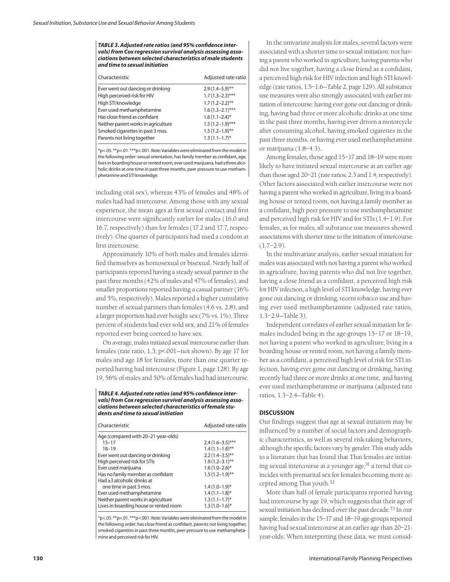*TABLE 3. Adjusted rate ratios (and 95% confidence intervals) from Cox regression survival analysis assessing associations between selected characteristics of male students and time to sexual initiation* 

| Characteristic                      | Adjusted rate ratio |
|-------------------------------------|---------------------|
| Ever went out dancing or drinking   | $2.9(1.4 - 5.9)$ ** |
| High perceived risk for HIV         | $1.7(1.3-2.3)$ ***  |
| High STI knowledge                  | $1.7(1.2-2.2)$ **   |
| Ever used methamphetamine           | $1.6(1.3-2.1)$ ***  |
| Has close friend as confidant       | $1.6(1.1-2.4)$ *    |
| Neither parent works in agriculture | $1.5(1.2-1.9)$ ***  |
| Smoked cigarettes in past 3 mos.    | $1.5(1.2-1.9)$ **   |
| Parents not living together         | $1.3(1.1-1.7)^{*}$  |

\*p<.05. \*\*p<.01. \*\*\*p<.001. *Note:* Variables were eliminated from the model in the following order: sexual orientation, has family member as confidant, age, lives in boarding house or rented room, ever used marijuana, had ≥three alcoholic drinks at one time in past three months, peer pressure to use methamphetamine and STI knowledge.

including oral sex), whereas 43% of females and 48% of males had had intercourse. Among those with any sexual experience, the mean ages at first sexual contact and first intercourse were significantly earlier for males (16.0 and 16.7, respectively) than for females (17.2 and 17.7, respectively). One quarter of participants had used a condom at first intercourse.

Approximately 10% of both males and females identified themselves as homosexual or bisexual. Nearly half of participants reported having a steady sexual partner in the past three months (42% of males and 47% of females), and smaller proportions reported having a casual partner (16% and 5%, respectively). Males reported a higher cumulative number of sexual partners than females (4.6 vs. 2.8), and a larger proportion had ever bought sex (7% vs. 1%). Three percent of students had ever sold sex, and 21% of females reported ever being coerced to have sex.

On average, males initiated sexual intercourse earlier than females (rate ratio, 1.3; p<.001—not shown). By age 17 for males and age 18 for females, more than one quarter reported having had intercourse (Figure 1, page 128). By age 19, 56% of males and 50% of females had had intercourse.

*TABLE 4. Adjusted rate ratios (and 95% confidence intervals) from Cox regression survival analysis assessing associations between selected characteristics of female students and time to sexual initiation*

| Characteristic                         | Adjusted rate ratio |
|----------------------------------------|---------------------|
| Age (compared with 20-21-year-olds)    |                     |
| $15 - 17$                              | $2.4(1.6-3.5)$ ***  |
| $18 - 19$                              | $1.4(1.1-1.8)$ **   |
| Ever went out dancing or drinking      | $2.2(1.4-3.5)$ **   |
| High perceived risk for STIs           | $1.9(1.2 - 3.1)$ ** |
| Ever used marijuana                    | $1.6(1.0-2.6)$ *    |
| Has no family member as confidant      | $1.5(1.2-1.9)$ **   |
| $Had >3$ alcoholic drinks at           |                     |
| one time in past 3 mos.                | $1.4(1.0-1.9)$ *    |
| Ever used methamphetamine              | $1.4(1.1-1.8)$ *    |
| Neither parent works in agriculture    | $1.3(1.1-1.7)$ *    |
| Lives in boarding house or rented room | $1.3(1.0-1.6)$ *    |

\*p<.05. \*\*p<.01. \*\*\*p<.001. *Note:*Variables were eliminated from the model in the following order: has close friend as confidant, parents not living together, smoked cigarettes in past three months, peer pressure to use methamphetamine and perceived risk for HIV.

In the univariate analysis for males, several factors were associated with a shorter time to sexual initiation: not having a parent who worked in agriculture, having parents who did not live together, having a close friend as a confidant, a perceived high risk for HIV infection and high STI knowledge (rate ratios, 1.5–1.6—Table 2, page 129). All substance use measures were also strongly associated with earlier initiation of intercourse: having ever gone out dancing or drinking, having had three or more alcoholic drinks at one time in the past three months, having ever driven a motorcycle after consuming alcohol, having smoked cigarettes in the past three months, or having ever used methamphetamine or marijuana (1.8–4.3).

Among females, those aged 15–17 and 18–19 were more likely to have initiated sexual intercourse at an earlier age than those aged 20–21 (rate ratios, 2.3 and 1.4, respectively). Other factors associated with earlier intercourse were not having a parent who worked in agriculture, living in a boarding house or rented room, not having a family member as a confidant, high peer pressure to use methamphetamine and perceived high risk for HIV and for STIs (1.4–1.9). For females, as for males, all substance use measures showed associations with shorter time to the initiation of intercourse  $(1.7-2.9)$ .

In the multivariate analysis, earlier sexual initiation for males was associated with not having a parent who worked in agriculture, having parents who did not live together, having a close friend as a confidant, a perceived high risk for HIV infection, a high level of STI knowledge, having ever gone out dancing or drinking, recent tobacco use and having ever used methamphetamine (adjusted rate ratios, 1.3–2.9—Table 3).

Independent correlates of earlier sexual initiation for females included being in the age-groups 15–17 or 18–19, not having a parent who worked in agriculture, living in a boarding house or rented room, not having a family member as a confidant, a perceived high level of risk for STI infection, having ever gone out dancing or drinking, having recently had three or more drinks at one time, and having ever used methamphetamine or marijuana (adjusted rate ratios, 1.3–2.4—Table 4).

# **DISCUSSION**

Our findings suggest that age at sexual initiation may be influenced by a number of social factors and demographic characteristics, as well as several risk-taking behaviors, although the specific factors vary by gender. This study adds to a literature that has found that Thai females are initiating sexual intercourse at a younger age, $31$  a trend that coincides with premarital sex for females becoming more accepted among Thai youth.32

More than half of female participants reported having had intercourse by age 19, which suggests that their age of sexual initiation has declined over the past decade.33 In our sample, females in the 15–17 and 18–19 age-groups reported having had sexual intercourse at an earlier age than 20–21 year-olds. When interpreting these data, we must consid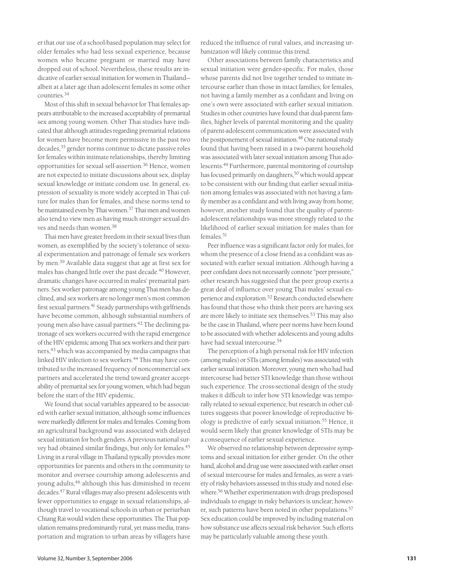er that our use of a school-based population may select for older females who had less sexual experience, because women who became pregnant or married may have dropped out of school. Nevertheless, these results are indicative of earlier sexual initiation for women in Thailand albeit at a later age than adolescent females in some other countries.<sup>34</sup>

Most of this shift in sexual behavior for Thai females appears attributable to the increased acceptability of premarital sex among young women. Other Thai studies have indicated that although attitudes regarding premarital relations for women have become more permissive in the past two decades,<sup>35</sup> gender norms continue to dictate passive roles for females within intimate relationships, thereby limiting opportunities for sexual self-assertion.<sup>36</sup> Hence, women are not expected to initiate discussions about sex, display sexual knowledge or initiate condom use. In general, expression of sexuality is more widely accepted in Thai culture for males than for females, and these norms tend to be maintained even by Thai women.<sup>37</sup> Thai men and women also tend to view men as having much stronger sexual drives and needs than women.38

Thai men have greater freedom in their sexual lives than women, as exemplified by the society's tolerance of sexual experimentation and patronage of female sex workers by men.<sup>39</sup> Available data suggest that age at first sex for males has changed little over the past decade.<sup>40</sup> However, dramatic changes have occurred in males' premarital partners. Sex worker patronage among young Thai men has declined, and sex workers are no longer men's most common first sexual partners.<sup>41</sup> Steady partnerships with girlfriends have become common, although substantial numbers of young men also have casual partners.<sup>42</sup> The declining patronage of sex workers occurred with the rapid emergence of the HIV epidemic among Thai sex workers and their partners,<sup>43</sup> which was accompanied by media campaigns that linked HIV infection to sex workers.<sup>44</sup> This may have contributed to the increased frequency of noncommercial sex partners and accelerated the trend toward greater acceptability of premarital sex for young women, which had begun before the start of the HIV epidemic.

We found that social variables appeared to be associated with earlier sexual initiation, although some influences were markedly different for males and females. Coming from an agricultural background was associated with delayed sexual initiation for both genders. A previous national survey had obtained similar findings, but only for females.45 Living in a rural village in Thailand typically provides more opportunities for parents and others in the community to monitor and oversee courtship among adolescents and young adults,<sup>46</sup> although this has diminished in recent decades.47 Rural villages may also present adolescents with fewer opportunities to engage in sexual relationships, although travel to vocational schools in urban or periurban Chiang Rai would widen these opportunities. The Thai population remains predominantly rural, yet mass media, transportation and migration to urban areas by villagers have reduced the influence of rural values, and increasing urbanization will likely continue this trend.

Other associations between family characteristics and sexual initiation were gender-specific. For males, those whose parents did not live together tended to initiate intercourse earlier than those in intact families; for females, not having a family member as a confidant and living on one's own were associated with earlier sexual initiation. Studies in other countries have found that dual-parent families, higher levels of parental monitoring and the quality of parent-adolescent communication were associated with the postponement of sexual initiation.<sup>48</sup> One national study found that having been raised in a two-parent household was associated with later sexual initiation among Thai adolescents.49 Furthermore, parental monitoring of courtship has focused primarily on daughters,50 which would appear to be consistent with our finding that earlier sexual initiation among females was associated with not having a family member as a confidant and with living away from home; however, another study found that the quality of parentadolescent relationships was more strongly related to the likelihood of earlier sexual initiation for males than for females.<sup>51</sup>

Peer influence was a significant factor only for males, for whom the presence of a close friend as a confidant was associated with earlier sexual initiation. Although having a peer confidant does not necessarily connote "peer pressure," other research has suggested that the peer group exerts a great deal of influence over young Thai males' sexual experience and exploration.52 Research conducted elsewhere has found that those who think their peers are having sex are more likely to initiate sex themselves.<sup>53</sup> This may also be the case in Thailand, where peer norms have been found to be associated with whether adolescents and young adults have had sexual intercourse.54

The perception of a high personal risk for HIV infection (among males) or STIs (among females) was associated with earlier sexual initiation. Moreover, young men who had had intercourse had better STI knowledge than those without such experience. The cross-sectional design of the study makes it difficult to infer how STI knowledge was temporally related to sexual experience, but research in other cultures suggests that poorer knowledge of reproductive biology is predictive of early sexual initiation.<sup>55</sup> Hence, it would seem likely that greater knowledge of STIs may be a consequence of earlier sexual experience.

We observed no relationship between depressive symptoms and sexual initiation for either gender. On the other hand, alcohol and drug use were associated with earlier onset of sexual intercourse for males and females, as were a variety of risky behaviors assessed in this study and noted elsewhere.56 Whether experimentation with drugs predisposed individuals to engage in risky behaviors is unclear; however, such patterns have been noted in other populations.<sup>57</sup> Sex education could be improved by including material on how substance use affects sexual risk behavior. Such efforts may be particularly valuable among these youth.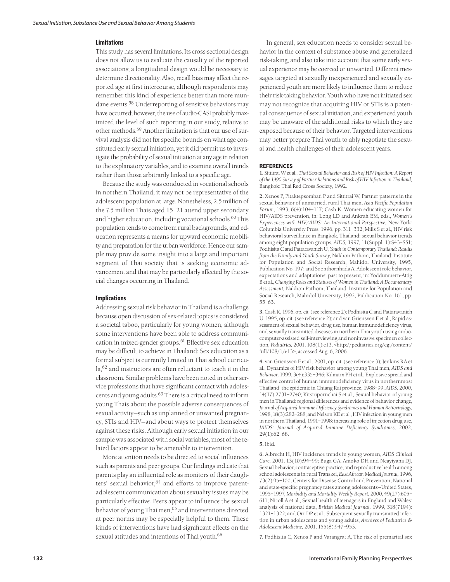#### **Limitations**

This study has several limitations. Its cross-sectional design does not allow us to evaluate the causality of the reported associations; a longitudinal design would be necessary to determine directionality. Also, recall bias may affect the reported age at first intercourse, although respondents may remember this kind of experience better than more mundane events.<sup>58</sup> Underreporting of sensitive behaviors may have occurred; however, the use of audio-CASI probably maximized the level of such reporting in our study, relative to other methods.59 Another limitation is that our use of survival analysis did not fix specific bounds on what age constituted early sexual initiation, yet it did permit us to investigate the probability of sexual initiation at any age in relation to the explanatory variables, and to examine overall trends rather than those arbitrarily linked to a specific age.

Because the study was conducted in vocational schools in northern Thailand, it may not be representative of the adolescent population at large. Nonetheless, 2.5 million of the 7.5 million Thais aged 15–21 attend upper secondary and higher education, including vocational schools.<sup>60</sup> This population tends to come from rural backgrounds, and education represents a means for upward economic mobility and preparation for the urban workforce. Hence our sample may provide some insight into a large and important segment of Thai society that is seeking economic advancement and that may be particularly affected by the social changes occurring in Thailand.

# **Implications**

Addressing sexual risk behavior in Thailand is a challenge because open discussion of sex-related topics is considered a societal taboo, particularly for young women, although some interventions have been able to address communication in mixed-gender groups.<sup>61</sup> Effective sex education may be difficult to achieve in Thailand: Sex education as a formal subject is currently limited in Thai school curricula,<sup>62</sup> and instructors are often reluctant to teach it in the classroom. Similar problems have been noted in other service professions that have significant contact with adolescents and young adults.<sup>63</sup> There is a critical need to inform young Thais about the possible adverse consequences of sexual activity—such as unplanned or unwanted pregnancy, STIs and HIV—and about ways to protect themselves against these risks. Although early sexual initiation in our sample was associated with social variables, most of the related factors appear to be amenable to intervention.

More attention needs to be directed to social influences such as parents and peer groups. Our findings indicate that parents play an influential role as monitors of their daughters' sexual behavior,<sup>64</sup> and efforts to improve parentadolescent communication about sexuality issues may be particularly effective. Peers appear to influence the sexual behavior of young Thai men,<sup>65</sup> and interventions directed at peer norms may be especially helpful to them. These kinds of interventions have had significant effects on the sexual attitudes and intentions of Thai youth.<sup>66</sup>

In general, sex education needs to consider sexual behavior in the context of substance abuse and generalized risk-taking, and also take into account that some early sexual experience may be coerced or unwanted. Different messages targeted at sexually inexperienced and sexually experienced youth are more likely to influence them to reduce their risk-taking behavior. Youth who have not initiated sex may not recognize that acquiring HIV or STIs is a potential consequence of sexual initiation, and experienced youth may be unaware of the additional risks to which they are exposed because of their behavior. Targeted interventions may better prepare Thai youth to ably negotiate the sexual and health challenges of their adolescent years.

# **REFERENCES**

**1.** Sittitrai W et al., *Thai Sexual Behavior and Risk of HIV Infection: A Report of the 1990 Survey of Partner Relations and Risk of HIV Infection in Thailand,* Bangkok: Thai Red Cross Society, 1992.

**2.** Xenos P, Pitaktepsombati P and Sittitrai W, Partner patterns in the sexual behavior of unmarried, rural Thai men, *Asia Pacific Population Forum,* 1993, 6(4):104–117; Cash K, Women educating women for HIV/AIDS prevention, in: Long LD and Ankrah EM, eds., *Women's Experiences with HIV/AIDS: An International Perspective,* New York: Columbia University Press, 1996, pp. 311–332; Mills S et al., HIV risk behavioral surveillance in Bangkok, Thailand: sexual behavior trends among eight population groups, *AIDS,* 1997, 11(Suppl. 1):S43–S51; Podhisita C and Pattaravanich U, *Youth in Contemporary Thailand: Results from the Family and Youth Survey,* Nakhon Pathom, Thailand: Institute for Population and Social Research, Mahidol University, 1995, Publication No. 197; and Soonthornhada A, Adolescent role behavior, expectations and adaptations: past to present, in: Yoddumnern-Attig B et al., *Changing Roles and Statuses of Women in Thailand: A Documentary Assessment,* Nakhon Pathom, Thailand: Institute for Population and Social Research, Mahidol University, 1992, Publication No. 161, pp. 55–63.

**3.** Cash K, 1996, op. cit. (see reference 2); Podhisita C and Pattaravanich U, 1995, op. cit. (see reference 2); and van Griensven F et al., Rapid assessment of sexual behavior, drug use, human immunodeficiency virus, and sexually transmitted diseases in northern Thai youth using audiocomputer-assisted self-interviewing and noninvasive specimen collection, *Pediatrics,* 2001, 108(1):e13, <http://pediatrics.org/cgi/content/ full/108/1/e13>, accessed Aug. 6, 2006.

**4.** van Griensven F et al., 2001, op. cit. (see reference 3); Jenkins RA et al., Dynamics of HIV risk behavior among young Thai men, *AIDS and Behavior,* 1999, 3(4):335–346; Kilmarx PH et al., Explosive spread and effective control of human immunodeficiency virus in northernmost Thailand: the epidemic in Chiang Rai province, 1988–99, *AIDS,* 2000, 14(17):2731–2740; Kitsiripornchai S et al., Sexual behavior of young men in Thailand: regional differences and evidence of behavior change, *Journal of Acquired Immune Deficiency Syndromes and Human Retrovirology,* 1998, 18(3):282–288; and Nelson KE et al., HIV infection in young men in northern Thailand, 1991–1998: increasing role of injection drug use, *JAIDS: Journal of Acquired Immune Deficiency Syndromes,* 2002, 29(1):62–68.

#### **5.** Ibid.

**6.** Albrecht H, HIV incidence trends in young women, *AIDS Clinical Care,* 2001, 13(10):94–99; Buga GA, Amoko DH and Ncayiyana DJ, Sexual behavior, contraceptive practice, and reproductive health among school adolescents in rural Transkei, *East African Medical Journal,* 1996, 73(2):95–100; Centers for Disease Control and Prevention, National and state-specific pregnancy rates among adolescents—United States, 1995–1997, *Morbidity and Mortality Weekly Report,* 2000, 49(27):605– 611; Nicoll A et al., Sexual health of teenagers in England and Wales: analysis of national data, *British Medical Journal,* 1999, 318(7194): 1321–1322; and Orr DP et al., Subsequent sexually transmitted infection in urban adolescents and young adults, *Archives of Pediatrics & Adolescent Medicine,* 2001, 155(8):947–953.

**7.** Podhisita C, Xenos P and Varangrat A, The risk of premarital sex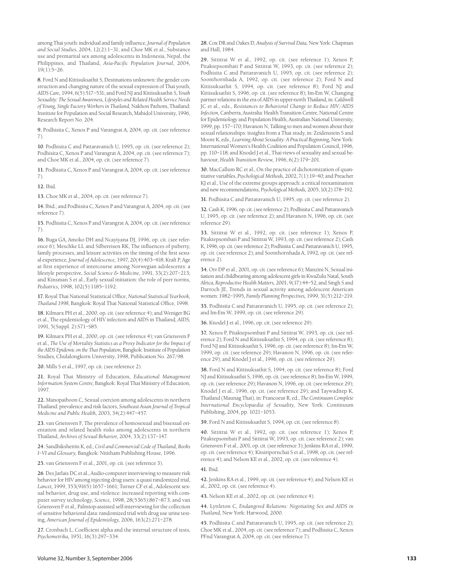among Thai youth: individual and family influence, *Journal of Population and Social Studies*, 2004, 12(2):1–31; and Choe MK et al., Substance use and premarital sex among adolescents in Indonesia, Nepal, the Philippines, and Thailand, *Asia-Pacific Population Journal*, 2004*,* 19(1):5–26.

**8.** Ford N and Kittisuksathit S, Destinations unknown: the gender construction and changing nature of the sexual expression of Thai youth, *AIDS Care,* 1994, 6(5):517–531; and Ford NJ and Kittisuksathit S, *Youth Sexuality: The Sexual Awareness, Lifestyles and Related Health Service Needs of Young, Single Factory Workers in Thailand,* Nakhon Pathom, Thailand: Institute for Population and Social Research, Mahidol University, 1996, Research Report No. 204.

**9.** Podhisita C, Xenos P and Varangrat A, 2004, op. cit. (see reference 7).

**10**. Podhisita C and Pattaravanich U, 1995, op. cit. (see reference 2); Podhisita C, Xenos P and Varangrat A, 2004, op. cit. (see reference 7); and Choe MK et al., 2004, op. cit. (see reference 7).

**11.** Podhisita C, Xenos P and Varangrat A, 2004, op. cit. (see reference 7).

**12.** Ibid.

**13.** Choe MK et al., 2004, op. cit. (see reference 7).

**14.** Ibid.; and Podhisita C, Xenos P and Varangrat A, 2004, op. cit. (see reference 7).

**15.** Podhisita C, Xenos P and Varangrat A, 2004, op. cit. (see reference 7).

**16.** Buga GA, Amoko DH and Ncayiyana DJ, 1996, op. cit. (see reference 6); Meschke LL and Silbereisen RK, The influences of puberty, family processes, and leisure activities on the timing of the first sexual experience, *Journal of Adolescence,* 1997, 20(4):403–418; Kraft P, Age at first experience of intercourse among Norwegian adolescents: a lifestyle perspective, *Social Science & Medicine,* 1991, 33(2):207–213; and Kinsman S et al., Early sexual initiation: the role of peer norms, *Pediatrics,* 1998, 102(5):1185–1192.

**17.** Royal Thai National Statistical Office, *National Statistical Yearbook, Thailand 1998*, Bangkok: Royal Thai National Statistical Office, 1998.

**18.** Kilmarx PH et al., 2000, op. cit. (see reference 4); and Weniger BG et al., The epidemiology of HIV infection and AIDS in Thailand, *AIDS,* 1991, 5(Suppl. 2):S71–S85.

**19.** Kilmarx PH et al., 2000, op. cit. (see reference 4); van Griensven F et al., *The Use of Mortality Statistics as a Proxy Indicator for the Impact of the AIDS Epidemic on the Thai Population,* Bangkok: Institute of Population Studies, Chulalongkorn University, 1998, Publication No. 267/98.

**20.** Mills S et al., 1997, op. cit. (see reference 2).

**21.** Royal Thai Ministry of Education, *Educational Management Information System Centre,* Bangkok: Royal Thai Ministry of Education, 1997.

**22.** Manopaiboon C, Sexual coercion among adolescents in northern Thailand: prevalence and risk factors, *Southeast Asian Journal of Tropical Medicine and Public Health,* 2003, 34(2):447–457.

**23.** van Griensven F, The prevalence of homosexual and bisexual orientation and related health risks among adolescents in northern Thailand, *Archives of Sexual Behavior,* 2004, 33(2):137–147.

**24.** Sandhikshetrin K, ed., *Civil and Commercial Code of Thailand, Books I–VI and Glossary,* Bangkok: Nititham Publishing House, 1996.

**25.** van Griensven F et al., 2001, op. cit. (see reference 3).

**26**. Des Jarlais DC et al., Audio-computer interviewing to measure risk behavior for HIV among injecting drug users: a quasi randomized trial, *Lancet,* 1999, 353(9165):1657–1661; Turner CF et al., Adolescent sexual behavior, drug use, and violence: increased reporting with computer survey technology, *Science,* 1998, 28(5365):867–873; and van Griensven F et al., Palmtop-assisted self-interviewing for the collection of sensitive behavioral data: randomized trial with drug use urine testing, *American Journal of Epidemiology,* 2006, 163(2):271–278.

**27.** Cronbach L, Coefficient alpha and the internal structure of tests, *Psychometrika,* 1951, 16(3):297–334.

**28.**Cox DR and Oakes D, *Analysis of Survival Data,* New York: Chapman and Hall, 1984.

**29.** Sittitrai W et al., 1992, op. cit. (see reference 1); Xenos P, Pitaktepsombati P and Sittitrai W, 1993, op. cit. (see reference 2); Podhisita C and Pattaravanich U, 1995, op. cit. (see reference 2); Soonthornhada A, 1992, op. cit. (see reference 2); Ford N and Kittisuksathit S, 1994, op. cit. (see reference 8); Ford NJ and Kittisuksathit S, 1996, op. cit. (see reference 8); Im-Em W, Changing partner relations in the era of AIDS in upper-north Thailand, in: Caldwell JC et al., eds., *Resistances to Behavioral Change to Reduce HIV/AIDS Infection,* Canberra, Australia: Health Transition Centre, National Centre for Epidemiology and Population Health, Australian National University, 1999, pp. 157–170; Havanon N, Talking to men and women about their sexual relationships: insights from a Thai study, in: Zeidenstein S and Moore K, eds., *Learning About Sexuality: A Practical Beginning,* New York: International Women's Health Coalition and Population Council, 1996, pp. 110–118; and Knodel J et al., Thai views of sexuality and sexual behaviour, *Health Transition Review,* 1996, 6(2):179–201.

**30.** MacCallum RC et al., On the practice of dichotomization of quantitative variables, *Psychological Methods,* 2002, 7(1):19–40; and Preacher KJ et al., Use of the extreme groups approach: a critical reexamination and new recommendations, *Psychological Methods,* 2005, 10(2):178–192.

**31.** Podhisita C and Pattaravanich U, 1995, op. cit. (see reference 2).

**32.**Cash K, 1996, op. cit. (see reference 2); Podhisita C and Pattaravanich U, 1995, op. cit. (see reference 2); and Havanon N, 1996, op. cit. (see reference 29).

**33.** Sittitrai W et al., 1992, op. cit. (see reference 1); Xenos P, Pitaktepsombati P and Sittitrai W, 1993, op. cit. (see reference 2); Cash K, 1996, op. cit. (see reference 2); Podhisita C and Pattaravanich U, 1995, op. cit. (see reference 2); and Soonthornhada A, 1992, op. cit. (see reference 2).

**34.** Orr DP et al., 2001, op. cit. (see reference 6); Manzini N, Sexual initiation and childbearing among adolescent girls in KwaZulu Natal, South Africa, *Reproductive Health Matters,* 2001, 9(17):44–52; and Singh S and Darroch JE, Trends in sexual activity among adolescent American women: 1982–1995, *Family Planning Perspectives,* 1999, 31(5):212–219.

**35.** Podhisita C and Pattaravanich U, 1995, op. cit. (see reference 2); and Im-Em W, 1999, op. cit. (see reference 29).

**36.** Knodel J et al., 1996, op. cit. (see reference 29).

**37.** Xenos P, Pitaktepsombati P and Sittitrai W, 1993, op. cit. (see reference 2); Ford N and Kittisuksathit S, 1994, op. cit. (see reference 8); Ford NJ and Kittisuksathit S, 1996, op. cit. (see reference 8); Im-Em W, 1999, op. cit. (see reference 29); Havanon N, 1996, op. cit. (see reference 29); and Knodel J et al., 1996, op. cit. (see reference 29).

**38.** Ford N and Kittisuksathit S, 1994, op. cit. (see reference 8); Ford NJ and Kittisuksathit S, 1996, op. cit. (see reference 8); Im-Em W, 1999, op. cit. (see reference 29); Havanon N, 1996, op. cit. (see reference 29); Knodel J et al., 1996, op. cit. (see reference 29); and Taywaditep K, Thailand (Maunag Thai), in: Francoeur R, ed., *The Continuum Complete International Encyclopaedia of Sexuality,* New York: Continuum Publishing, 2004, pp. 1021–1053.

**39.** Ford N and Kittisuksathit S, 1994, op. cit. (see reference 8).

**40.** Sittitrai W et al., 1992, op. cit. (see reference 1); Xenos P, Pitaktepsombati P and Sittitrai W, 1993, op. cit. (see reference 2); van Griensven F et al., 2001, op. cit. (see reference 3); Jenkins RA et al., 1999, op. cit. (see reference 4); Kitsiripornchai S et al., 1998, op. cit. (see reference 4); and Nelson KE et al., 2002, op. cit. (see reference 4).

**41.** Ibid.

**42.** Jenkins RA et al., 1999, op. cit. (see reference 4); and Nelson KE et al., 2002, op. cit. (see reference 4).

**43.** Nelson KE et al., 2002, op. cit. (see reference 4).

**44.** Lyttleton C, *Endangered Relations: Negotiating Sex and AIDS in Thailand,* New York: Harwood, 2000.

**45.** Podhisita C and Pattaravanich U, 1995, op. cit. (see reference 2); Choe MK et al., 2004, op. cit. (see reference 7); and Podhisita C, Xenos PFnd Varangrat A, 2004, op. cit. (see reference 7).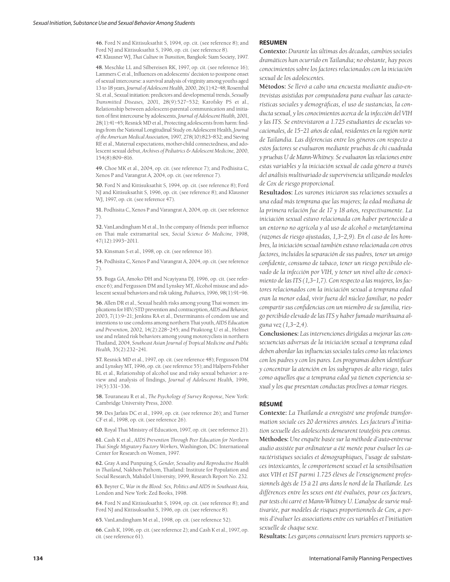**46.** Ford N and Kittisuksathit S, 1994, op. cit. (see reference 8); and Ford NJ and Kittisuksathit S, 1996, op. cit. (see reference 8). **47.** Klausner WJ, *Thai Culture in Transition,* Bangkok: Siam Society, 1997.

**48.** Meschke LL and Silbereisen RK, 1997, op. cit. (see reference 16); Lammers C et al., Influences on adolescents' decision to postpone onset of sexual intercourse: a survival analysis of virginity among youths aged 13 to 18 years, *Journal of Adolescent Health,* 2000, 26(1):42–48; Rosenthal SL et al., Sexual initiation: predictors and developmental trends, *Sexually Transmitted Diseases,* 2001, 28(9):527–532; Karofsky PS et al., Relationship between adolescent-parental communication and initiation of first intercourse by adolescents, *Journal of Adolescent Health,* 2001, 28(1):41–45; Resnick MD et al., Protecting adolescents from harm: findings from the National Longitudinal Study on Adolescent Health, *Journal of the American Medical Association,* 1997, 278(10):823–832; and Sieving RE et al., Maternal expectations, mother-child connectedness, and adolescent sexual debut, *Archives of Pediatrics & Adolescent Medicine,* 2000, 154(8):809–816.

**49.** Choe MK et al., 2004, op. cit. (see reference 7); and Podhisita C, Xenos P and Varangrat A, 2004, op. cit. (see reference 7).

**50.** Ford N and Kittisuksathit S, 1994, op. cit. (see reference 8); Ford NJ and Kittisuksathit S, 1996, op. cit. (see reference 8); and Klausner WJ, 1997, op. cit. (see reference 47).

**51.** Podhisita C, Xenos P and Varangrat A, 2004, op. cit. (see reference 7).

**52.** VanLandingham M et al., In the company of friends: peer influence on Thai male extramarital sex, *Social Science & Medicine,* 1998, 47(12):1993–2011.

**53.** Kinsman S et al., 1998, op. cit. (see reference 16).

**54.** Podhisita C, Xenos P and Varangrat A, 2004, op. cit. (see reference 7).

**55.** Buga GA, Amoko DH and Ncayiyana DJ, 1996, op. cit. (see reference 6); and Fergusson DM and Lynskey MT, Alcohol misuse and adolescent sexual behaviors and risk taking, *Pediatric*s, 1996, 98(1):91–96.

**56.** Allen DR et al., Sexual health risks among young Thai women: implications for HIV/STD prevention and contraception, *AIDS and Behavior,* 2003, 7(1):9–21; Jenkins RA et al., Determinants of condom use and intentions to use condoms among northern Thai youth, *AIDS Education and Prevention,* 2002, 14(2):228–245; and Pitaktong U et al., Helmet use and related risk behaviors among young motorcyclists in northern Thailand, 2004, *Southeast Asian Journal of Tropical Medicine and Public Health,* 35(2):232–241.

**57.** Resnick MD et al., 1997, op. cit. (see reference 48); Fergusson DM and Lynskey MT, 1996, op. cit. (see reference 55); and Halpern-Felsher BL et al., Relationship of alcohol use and risky sexual behavior: a review and analysis of findings, *Journal of Adolescent Health,* 1996, 19(5):331–336.

**58.** Touraneau R et al., *The Psychology of Survey Response,* New York: Cambridge University Press, 2000.

**59.** Des Jarlais DC et al., 1999, op. cit. (see reference 26); and Turner CF et al., 1998, op. cit. (see reference 26).

**60.** Royal Thai Ministry of Education, 1997, op. cit. (see reference 21).

**61.** Cash K et al., *AIDS Prevention Through Peer Education for Northern Thai Single Migratory Factory Workers*, Washington, DC: International Center for Research on Women, 1997.

**62.** Gray A and Punpuing S, *Gender, Sexuality and Reproductive Health in Thailand,* Nakhon Pathom, Thailand: Institute for Population and Social Research, Mahidol University, 1999, Research Report No. 232.

**63.** Beyrer C, *War in the Blood: Sex, Politics and AIDS in Southeast Asia,* London and New York: Zed Books, 1998.

**64.** Ford N and Kittisuksathit S, 1994, op. cit. (see reference 8); and Ford NJ and Kittisuksathit S, 1996, op. cit. (see reference 8).

**65.** VanLandingham M et al., 1998, op. cit. (see reference 52).

**66.** Cash K, 1996, op. cit. (see reference 2); and Cash K et al., 1997, op. cit. (see reference 61).

#### **RESUMEN**

**Contexto:** *Durante las últimas dos décadas, cambios sociales dramáticos han ocurrido en Tailandia; no obstante, hay pocos conocimientos sobre los factores relacionados con la iniciación sexual de los adolescentes.*

**Métodos:** *Se llevó a cabo una encuesta mediante audio-entrevistas asistidas por computadora para evaluar las características sociales y demográficas, el uso de sustancias, la conducta sexual, y los conocimientos acerca de la infección del VIH y las ITS. Se entrevistaron a 1.725 estudiantes de escuelas vocacionales, de 15–21 años de edad, residentes en la región norte de Tailandia. Las diferencias entre los géneros con respecto a estos factores se evaluaron mediante pruebas de chi cuadrada y pruebas U de Mann-Whitney. Se evaluaron las relaciones entre estas variables y la iniciación sexual de cada género a través del análisis multivariado de supervivencia utilizando modelos de Cox de riesgo proporcional.*

**Resultados:** *Los varones iniciaron sus relaciones sexuales a una edad más temprana que las mujeres; la edad mediana de la primera relación fue de 17 y 18 años, respectivamente. La iniciación sexual estuvo relacionada con haber pertenecido a un entorno no agrícola y al uso de alcohol o metanfetamina (razones de riesgo ajustadas, 1,3–2,9). En el caso de los hombres, la iniciación sexual también estuvo relacionada con otros factores, incluidos la separación de sus padres, tener un amigo confidente, consumo de tabaco, tener un riesgo percibido elevado de la infección por VIH, y tener un nivel alto de conocimiento de las ITS (1,3–1,7). Con respecto a las mujeres, los factores relacionados con la iniciación sexual a temprana edad eran la menor edad, vivir fuera del núcleo familiar, no poder compartir sus confidencias con un miembro de su familia, riesgo percibido elevado de las ITS y haber fumado marihuana alguna vez (1,3–2,4).* 

**Conclusiones:** *Las intervenciones dirigidas a mejorar las consecuencias adversas de la iniciación sexual a temprana edad deben abordar las influencias sociales tales como las relaciones con los padres y con los pares. Los programas deben identificar y concentrar la atención en los subgrupos de alto riesgo, tales como aquellos que a temprana edad ya tienen experiencia sexual y los que presentan conductas proclives a tomar riesgos.*

### **RÉSUMÉ**

**Contexte:** *La Thaïlande a enregistré une profonde transformation sociale ces 20 dernières années. Les facteurs d'initiation sexuelle des adolescents demeurent toutefois peu connus.* **Méthodes:** *Une enquête basée sur la méthode d'auto-entrevue audio assistée par ordinateur a été menée pour évaluer les caractéristiques sociales et démographiques, l'usage de substances intoxicantes, le comportement sexuel et la sensibilisation aux VIH et IST parmi 1.725 élèves de l'enseignement professionnels âgés de 15 à 21 ans dans le nord de la Thaïlande. Les différences entre les sexes ont été évaluées, pour ces facteurs, par tests chi carré et Mann-Whitney U. L'analyse de survie multivariée, par modèles de risques proportionnels de Cox, a permis d'évaluer les associations entre ces variables et l'initiation sexuelle de chaque sexe.*

**Résultats:** *Les garçons connaissent leurs premiers rapports se-*